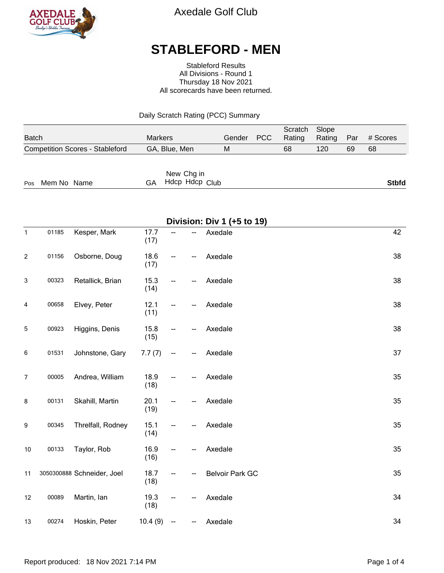

Axedale Golf Club

## **STABLEFORD - MEN**

Stableford Results All Divisions - Round 1 Thursday 18 Nov 2021 All scorecards have been returned.

Daily Scratch Rating (PCC) Summary

| <b>Batch</b>                           | <b>Markers</b>                     | Gender | <b>PCC</b> | Scratch<br>Rating | Slope<br>Rating | Par | # Scores     |
|----------------------------------------|------------------------------------|--------|------------|-------------------|-----------------|-----|--------------|
| <b>Competition Scores - Stableford</b> | GA, Blue, Men                      | M      |            | 68                | 120             | 69  | 68           |
| Pos Mem No Name                        | New Chg in<br>Hdcp Hdcp Club<br>GA |        |            |                   |                 |     | <b>Stbfd</b> |

|                  | Division: Div 1 (+5 to 19) |                            |              |    |  |                        |    |  |
|------------------|----------------------------|----------------------------|--------------|----|--|------------------------|----|--|
| $\mathbf{1}$     | 01185                      | Kesper, Mark               | 17.7<br>(17) | -- |  | Axedale                | 42 |  |
| $\boldsymbol{2}$ | 01156                      | Osborne, Doug              | 18.6<br>(17) | -- |  | Axedale                | 38 |  |
| 3                | 00323                      | Retallick, Brian           | 15.3<br>(14) | -- |  | Axedale                | 38 |  |
| 4                | 00658                      | Elvey, Peter               | 12.1<br>(11) |    |  | Axedale                | 38 |  |
| 5                | 00923                      | Higgins, Denis             | 15.8<br>(15) |    |  | Axedale                | 38 |  |
| 6                | 01531                      | Johnstone, Gary            | 7.7(7)       | ⊷  |  | Axedale                | 37 |  |
| $\overline{7}$   | 00005                      | Andrea, William            | 18.9<br>(18) |    |  | Axedale                | 35 |  |
| 8                | 00131                      | Skahill, Martin            | 20.1<br>(19) | -- |  | Axedale                | 35 |  |
| 9                | 00345                      | Threlfall, Rodney          | 15.1<br>(14) |    |  | Axedale                | 35 |  |
| 10               | 00133                      | Taylor, Rob                | 16.9<br>(16) |    |  | Axedale                | 35 |  |
| 11               |                            | 3050300888 Schneider, Joel | 18.7<br>(18) |    |  | <b>Belvoir Park GC</b> | 35 |  |
| 12               | 00089                      | Martin, lan                | 19.3<br>(18) |    |  | Axedale                | 34 |  |
| 13               | 00274                      | Hoskin, Peter              | 10.4(9)      | -- |  | Axedale                | 34 |  |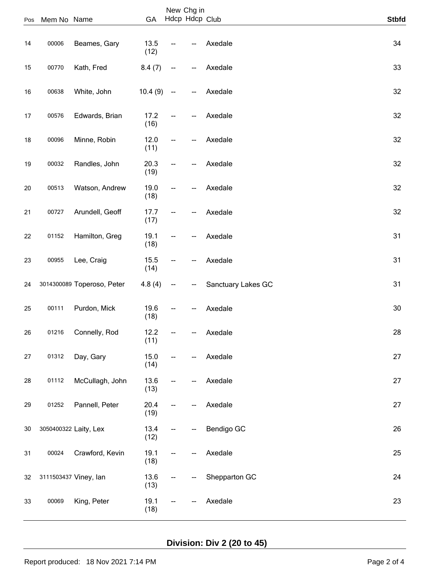|     |             |                            |              |    | New Chg in     |                    |              |
|-----|-------------|----------------------------|--------------|----|----------------|--------------------|--------------|
| Pos | Mem No Name |                            | GA           |    | Hdcp Hdcp Club |                    | <b>Stbfd</b> |
| 14  | 00006       | Beames, Gary               | 13.5<br>(12) |    |                | Axedale            | 34           |
| 15  | 00770       | Kath, Fred                 | 8.4(7)       | -- |                | Axedale            | 33           |
| 16  | 00638       | White, John                | 10.4(9)      | -- |                | Axedale            | 32           |
| 17  | 00576       | Edwards, Brian             | 17.2<br>(16) |    |                | Axedale            | 32           |
| 18  | 00096       | Minne, Robin               | 12.0<br>(11) | -- |                | Axedale            | 32           |
| 19  | 00032       | Randles, John              | 20.3<br>(19) |    |                | Axedale            | 32           |
| 20  | 00513       | Watson, Andrew             | 19.0<br>(18) | -- |                | Axedale            | 32           |
| 21  | 00727       | Arundell, Geoff            | 17.7<br>(17) | -- |                | Axedale            | 32           |
| 22  | 01152       | Hamilton, Greg             | 19.1<br>(18) | -- |                | Axedale            | 31           |
| 23  | 00955       | Lee, Craig                 | 15.5<br>(14) | -- |                | Axedale            | 31           |
| 24  |             | 3014300089 Toperoso, Peter | 4.8(4)       |    |                | Sanctuary Lakes GC | 31           |
| 25  | 00111       | Purdon, Mick               | 19.6<br>(18) |    |                | Axedale            | 30           |
| 26  | 01216       | Connelly, Rod              | 12.2<br>(11) |    |                | Axedale            | 28           |
| 27  | 01312       | Day, Gary                  | 15.0<br>(14) | -- |                | Axedale            | 27           |
| 28  | 01112       | McCullagh, John            | 13.6<br>(13) |    |                | Axedale            | 27           |
| 29  | 01252       | Pannell, Peter             | 20.4<br>(19) | -- |                | Axedale            | 27           |
| 30  |             | 3050400322 Laity, Lex      | 13.4<br>(12) | -- |                | Bendigo GC         | 26           |
| 31  | 00024       | Crawford, Kevin            | 19.1<br>(18) |    |                | Axedale            | 25           |
| 32  |             | 3111503437 Viney, lan      | 13.6<br>(13) | -- |                | Shepparton GC      | 24           |
| 33  | 00069       | King, Peter                | 19.1<br>(18) | -- |                | Axedale            | 23           |

**Division: Div 2 (20 to 45)**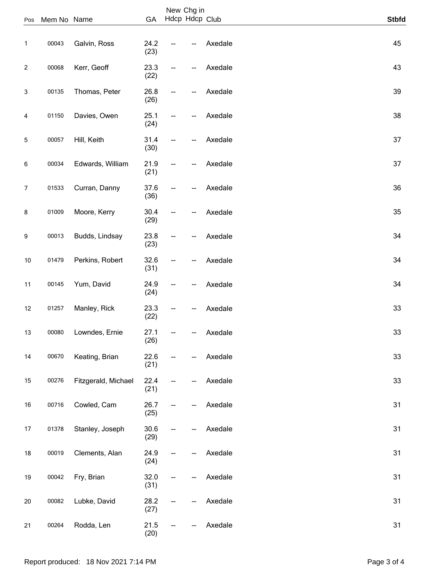| Pos          | Mem No Name |                     | GA           |    | New Chg in<br>Hdcp Hdcp Club |         | <b>Stbfd</b> |
|--------------|-------------|---------------------|--------------|----|------------------------------|---------|--------------|
| 1            | 00043       | Galvin, Ross        | 24.2<br>(23) |    |                              | Axedale | 45           |
| $\mathbf{2}$ | 00068       | Kerr, Geoff         | 23.3<br>(22) | -- |                              | Axedale | 43           |
| 3            | 00135       | Thomas, Peter       | 26.8<br>(26) |    |                              | Axedale | 39           |
| 4            | 01150       | Davies, Owen        | 25.1<br>(24) | -- |                              | Axedale | 38           |
| $\sqrt{5}$   | 00057       | Hill, Keith         | 31.4<br>(30) | -- |                              | Axedale | 37           |
| 6            | 00034       | Edwards, William    | 21.9<br>(21) | -- |                              | Axedale | 37           |
| 7            | 01533       | Curran, Danny       | 37.6<br>(36) |    |                              | Axedale | 36           |
| 8            | 01009       | Moore, Kerry        | 30.4<br>(29) | -- |                              | Axedale | 35           |
| 9            | 00013       | Budds, Lindsay      | 23.8<br>(23) |    |                              | Axedale | 34           |
| 10           | 01479       | Perkins, Robert     | 32.6<br>(31) | -- |                              | Axedale | 34           |
| 11           | 00145       | Yum, David          | 24.9<br>(24) |    |                              | Axedale | 34           |
| 12           | 01257       | Manley, Rick        | 23.3<br>(22) |    |                              | Axedale | 33           |
| 13           | 00080       | Lowndes, Ernie      | 27.1<br>(26) |    |                              | Axedale | 33           |
| 14           | 00670       | Keating, Brian      | 22.6<br>(21) | -- |                              | Axedale | 33           |
| 15           | 00276       | Fitzgerald, Michael | 22.4<br>(21) | -- |                              | Axedale | 33           |
| 16           | 00716       | Cowled, Cam         | 26.7<br>(25) | -- |                              | Axedale | 31           |
| 17           | 01378       | Stanley, Joseph     | 30.6<br>(29) | -- |                              | Axedale | 31           |
| 18           | 00019       | Clements, Alan      | 24.9<br>(24) |    |                              | Axedale | 31           |
| 19           | 00042       | Fry, Brian          | 32.0<br>(31) | -- |                              | Axedale | 31           |
| $20\,$       | 00082       | Lubke, David        | 28.2<br>(27) | -- |                              | Axedale | 31           |
| 21           | 00264       | Rodda, Len          | 21.5<br>(20) | -- |                              | Axedale | 31           |